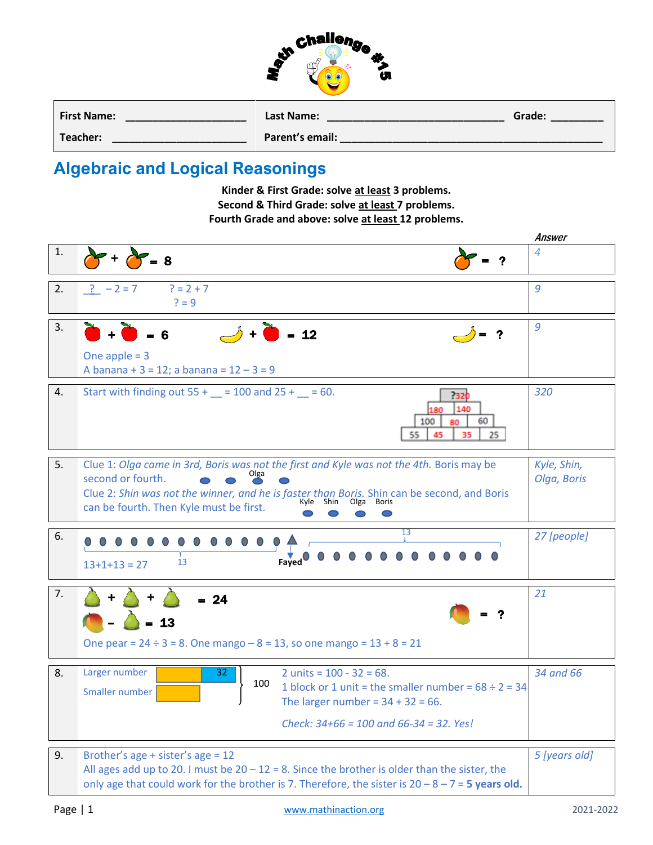

| <b>First Name:</b> | Last Name:      | Grade: |
|--------------------|-----------------|--------|
| Teacher:           | Parent's email: |        |

## **Algebraic and Logical Reasonings**

**Kinder & First Grade: solve at least 3 problems. Second & Third Grade: solve at least 7 problems. Fourth Grade and above: solve at least 12 problems.**

|    |                                                                                                                                                                                                                                                                                                 | Answer                     |
|----|-------------------------------------------------------------------------------------------------------------------------------------------------------------------------------------------------------------------------------------------------------------------------------------------------|----------------------------|
| 1. | $= 8$                                                                                                                                                                                                                                                                                           | 4                          |
| 2. | $? = 2 + 7$<br>$? -2 = 7$<br>$? = 9$                                                                                                                                                                                                                                                            | 9                          |
| 3. | $\rightarrow +$ $\bullet$ = 12<br>One apple $= 3$<br>A banana + $3 = 12$ ; a banana = $12 - 3 = 9$                                                                                                                                                                                              | 9                          |
| 4. | Start with finding out $55 + 2 = 100$ and $25 + 2 = 60$ .<br>7320<br>140<br>180<br>60<br>100<br>80<br>55<br>35<br>25<br>45                                                                                                                                                                      | 320                        |
| 5. | Clue 1: Olga came in 3rd, Boris was not the first and Kyle was not the 4th. Boris may be<br>second or fourth.<br>Clue 2: Shin was not the winner, and he is faster than Boris. Shin can be second, and Boris<br>Kyle<br>Shin<br>Olga<br><b>Boris</b><br>can be fourth. Then Kyle must be first. | Kyle, Shin,<br>Olga, Boris |
| 6. | 13<br><b>Fayed</b><br>13<br>$13+1+13=27$                                                                                                                                                                                                                                                        | 27 [people]                |
| 7. | $= 24$<br>$= 13$<br>One pear = $24 \div 3 = 8$ . One mango $-8 = 13$ , so one mango = $13 + 8 = 21$                                                                                                                                                                                             | 21                         |
| 8. | 2 units = $100 - 32 = 68$ .<br>Larger number<br>32<br>100<br>1 block or 1 unit = the smaller number = $68 \div 2 = 34$<br>Smaller number<br>The larger number = $34 + 32 = 66$ .<br>Check: $34+66 = 100$ and $66-34 = 32$ . Yes!                                                                | 34 and 66                  |
| 9. | Brother's age + sister's age = 12<br>All ages add up to 20. I must be $20 - 12 = 8$ . Since the brother is older than the sister, the<br>only age that could work for the brother is 7. Therefore, the sister is $20 - 8 - 7 = 5$ years old.                                                    | 5 [years old]              |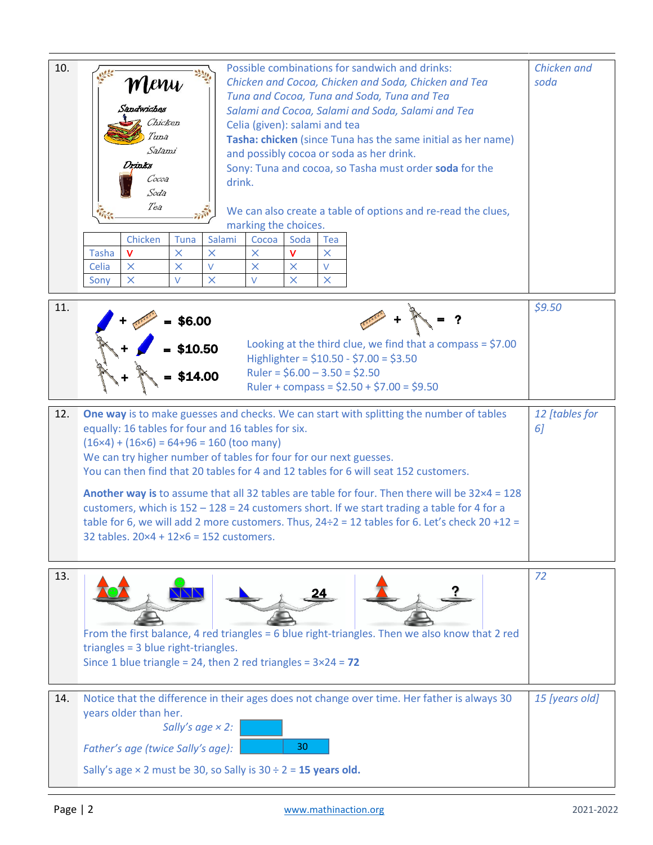| 10.                                                                                                                                                                                                                                                                                                                                                                                                                                                                                                                                                                                                                                                                                                                                                   | Possible combinations for sandwich and drinks:<br>Menu<br>Chicken and Cocoa, Chicken and Soda, Chicken and Tea<br>Tuna and Cocoa, Tuna and Soda, Tuna and Tea<br>Sandwiches<br>Salami and Cocoa, Salami and Soda, Salami and Tea<br>Chicken<br>Celia (given): salami and tea<br>Tuna<br>Tasha: chicken (since Tuna has the same initial as her name)<br>Salami<br>and possibly cocoa or soda as her drink.<br>rinks<br>Sony: Tuna and cocoa, so Tasha must order soda for the<br>Cocoa<br>drink.<br>Soda<br>Tea<br>We can also create a table of options and re-read the clues,<br>marking the choices.<br>Chicken<br>Salami<br>Tuna<br>Cocoa<br>Soda<br>Tea<br><b>Tasha</b><br>$\times$<br>v<br>$\times$<br>v<br>$\times$<br>×<br>$\vee$<br>$\vee$<br>Celia<br>$\times$<br>$\times$<br>×<br>×<br>$\times$<br>$\times$<br>X<br>$\times$<br>V<br>V<br>Sony | Chicken and<br>soda  |
|-------------------------------------------------------------------------------------------------------------------------------------------------------------------------------------------------------------------------------------------------------------------------------------------------------------------------------------------------------------------------------------------------------------------------------------------------------------------------------------------------------------------------------------------------------------------------------------------------------------------------------------------------------------------------------------------------------------------------------------------------------|-----------------------------------------------------------------------------------------------------------------------------------------------------------------------------------------------------------------------------------------------------------------------------------------------------------------------------------------------------------------------------------------------------------------------------------------------------------------------------------------------------------------------------------------------------------------------------------------------------------------------------------------------------------------------------------------------------------------------------------------------------------------------------------------------------------------------------------------------------------|----------------------|
| 11.                                                                                                                                                                                                                                                                                                                                                                                                                                                                                                                                                                                                                                                                                                                                                   | \$6.00<br>Looking at the third clue, we find that a compass = $$7.00$<br>\$10.50<br>Highlighter = \$10.50 - \$7.00 = \$3.50<br>Ruler = $$6.00 - 3.50 = $2.50$<br>\$14.00<br>Ruler + compass = $$2.50 + $7.00 = $9.50$                                                                                                                                                                                                                                                                                                                                                                                                                                                                                                                                                                                                                                     | \$9.50               |
| One way is to make guesses and checks. We can start with splitting the number of tables<br>12.<br>equally: 16 tables for four and 16 tables for six.<br>$(16\times4) + (16\times6) = 64+96 = 160$ (too many)<br>We can try higher number of tables for four for our next guesses.<br>You can then find that 20 tables for 4 and 12 tables for 6 will seat 152 customers.<br>Another way is to assume that all 32 tables are table for four. Then there will be $32 \times 4 = 128$<br>customers, which is $152 - 128 = 24$ customers short. If we start trading a table for 4 for a<br>table for 6, we will add 2 more customers. Thus, $24\div 2 = 12$ tables for 6. Let's check 20 +12 =<br>32 tables. $20 \times 4 + 12 \times 6 = 152$ customers. |                                                                                                                                                                                                                                                                                                                                                                                                                                                                                                                                                                                                                                                                                                                                                                                                                                                           | 12 [tables for<br>6] |
| 13.                                                                                                                                                                                                                                                                                                                                                                                                                                                                                                                                                                                                                                                                                                                                                   | From the first balance, 4 red triangles = 6 blue right-triangles. Then we also know that 2 red<br>triangles = 3 blue right-triangles.<br>Since 1 blue triangle = 24, then 2 red triangles = $3 \times 24 = 72$                                                                                                                                                                                                                                                                                                                                                                                                                                                                                                                                                                                                                                            | 72                   |
| 14.                                                                                                                                                                                                                                                                                                                                                                                                                                                                                                                                                                                                                                                                                                                                                   | Notice that the difference in their ages does not change over time. Her father is always 30<br>years older than her.<br>Sally's age $\times$ 2:<br>30<br>Father's age (twice Sally's age):<br>Sally's age $\times$ 2 must be 30, so Sally is 30 ÷ 2 = 15 years old.                                                                                                                                                                                                                                                                                                                                                                                                                                                                                                                                                                                       | 15 [years old]       |